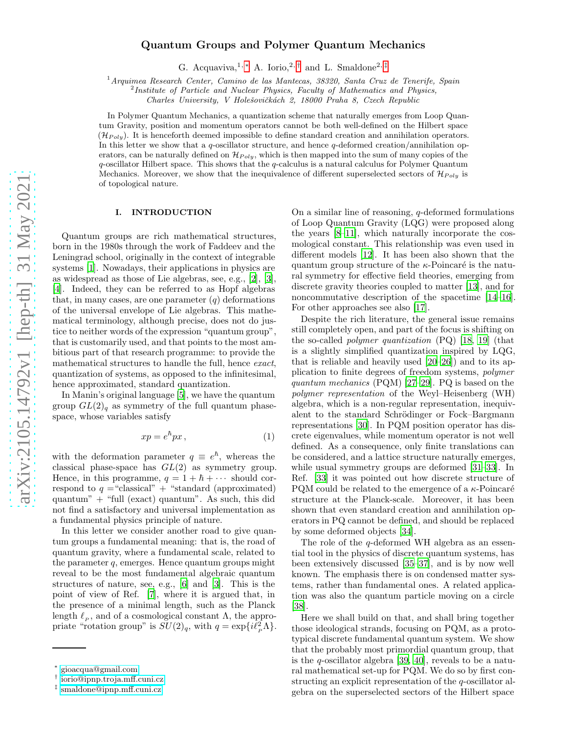# Quantum Groups and Polymer Quantum Mechanics

G. Acquaviva,<sup>1,\*</sup> A. Iorio,<sup>2,[†](#page-0-1)</sup> and L. Smaldone<sup>2,[‡](#page-0-2)</sup>

<sup>1</sup>*Arquimea Research Center, Camino de las Mantecas, 38320, Santa Cruz de Tenerife, Spain* <sup>2</sup>

*Institute of Particle and Nuclear Physics, Faculty of Mathematics and Physics,*

*Charles University, V Holeˇsoviˇck´ach 2, 18000 Praha 8, Czech Republic*

In Polymer Quantum Mechanics, a quantization scheme that naturally emerges from Loop Quantum Gravity, position and momentum operators cannot be both well-defined on the Hilbert space  $(\mathcal{H}_{Poly})$ . It is henceforth deemed impossible to define standard creation and annihilation operators. In this letter we show that a q-oscillator structure, and hence q-deformed creation/annihilation operators, can be naturally defined on  $\mathcal{H}_{Poly}$ , which is then mapped into the sum of many copies of the  $q$ -oscillator Hilbert space. This shows that the  $q$ -calculus is a natural calculus for Polymer Quantum Mechanics. Moreover, we show that the inequivalence of different superselected sectors of  $\mathcal{H}_{Poly}$  is of topological nature.

# I. INTRODUCTION

Quantum groups are rich mathematical structures, born in the 1980s through the work of Faddeev and the Leningrad school, originally in the context of integrable systems [\[1](#page-4-0)]. Nowadays, their applications in physics are as widespread as those of Lie algebras, see, e.g., [\[2](#page-4-1)], [\[3\]](#page-4-2), [\[4](#page-4-3)]. Indeed, they can be referred to as Hopf algebras that, in many cases, are one parameter  $(q)$  deformations of the universal envelope of Lie algebras. This mathematical terminology, although precise, does not do justice to neither words of the expression "quantum group", that is customarily used, and that points to the most ambitious part of that research programme: to provide the mathematical structures to handle the full, hence exact, quantization of systems, as opposed to the infinitesimal, hence approximated, standard quantization.

In Manin's original language [\[5](#page-4-4)], we have the quantum group  $GL(2)_q$  as symmetry of the full quantum phasespace, whose variables satisfy

$$
xp = e^h px \,, \tag{1}
$$

with the deformation parameter  $q \equiv e^{\hbar}$ , whereas the classical phase-space has  $GL(2)$  as symmetry group. Hence, in this programme,  $q = 1 + \hbar + \cdots$  should correspond to  $q =$  "classical" + "standard (approximated) quantum" + "full (exact) quantum". As such, this did not find a satisfactory and universal implementation as a fundamental physics principle of nature.

In this letter we consider another road to give quantum groups a fundamental meaning: that is, the road of quantum gravity, where a fundamental scale, related to the parameter q, emerges. Hence quantum groups might reveal to be the most fundamental algebraic quantum structures of nature, see, e.g., [\[6](#page-4-5)] and [\[3](#page-4-2)]. This is the point of view of Ref. [\[7](#page-4-6)], where it is argued that, in the presence of a minimal length, such as the Planck length  $\ell_p$ , and of a cosmological constant  $\Lambda$ , the appropriate "rotation group" is  $SU(2)_q$ , with  $q = \exp\{i\ell_p^2 \Lambda\}.$ 

On a similar line of reasoning, q-deformed formulations of Loop Quantum Gravity (LQG) were proposed along the years [\[8](#page-4-7)[–11](#page-4-8)], which naturally incorporate the cosmological constant. This relationship was even used in different models [\[12\]](#page-4-9). It has been also shown that the quantum group structure of the  $\kappa$ -Poincaré is the natural symmetry for effective field theories, emerging from discrete gravity theories coupled to matter [\[13\]](#page-4-10), and for noncommutative description of the spacetime [14[–16\]](#page-4-11). For other approaches see also [\[17\]](#page-4-12).

Despite the rich literature, the general issue remains still completely open, and part of the focus is shifting on the so-called polymer quantization (PQ) [\[18,](#page-4-13) [19\]](#page-4-14) (that is a slightly simplified quantization inspired by LQG, that is reliable and heavily used [\[20](#page-4-15)[–26\]](#page-4-16)) and to its application to finite degrees of freedom systems, polymer quantum mechanics (PQM) [\[27](#page-4-17)[–29\]](#page-4-18). PQ is based on the polymer representation of the Weyl–Heisenberg (WH) algebra, which is a non-regular representation, inequivalent to the standard Schrödinger or Fock–Bargmann representations [\[30\]](#page-4-19). In PQM position operator has discrete eigenvalues, while momentum operator is not well defined. As a consequence, only finite translations can be considered, and a lattice structure naturally emerges, while usual symmetry groups are deformed [\[31](#page-4-20)[–33](#page-4-21)]. In Ref. [\[33](#page-4-21)] it was pointed out how discrete structure of PQM could be related to the emergence of a  $\kappa$ -Poincaré structure at the Planck-scale. Moreover, it has been shown that even standard creation and annihilation operators in PQ cannot be defined, and should be replaced by some deformed objects [\[34](#page-4-22)].

The role of the q-deformed WH algebra as an essential tool in the physics of discrete quantum systems, has been extensively discussed [\[35](#page-4-23)[–37](#page-4-24)], and is by now well known. The emphasis there is on condensed matter systems, rather than fundamental ones. A related application was also the quantum particle moving on a circle [\[38\]](#page-4-25).

Here we shall build on that, and shall bring together those ideological strands, focusing on PQM, as a prototypical discrete fundamental quantum system. We show that the probably most primordial quantum group, that is the q-oscillator algebra [\[39](#page-4-26), [40](#page-4-27)], reveals to be a natural mathematical set-up for PQM. We do so by first constructing an explicit representation of the q-oscillator algebra on the superselected sectors of the Hilbert space

<span id="page-0-0"></span><sup>∗</sup> [gioacqua@gmail.com](mailto:gioacqua@gmail.com)

<span id="page-0-1"></span><sup>†</sup> [iorio@ipnp.troja.mff.cuni.cz](mailto:iorio@ipnp.troja.mff.cuni.cz)

<span id="page-0-2"></span><sup>‡</sup> [smaldone@ipnp.mff.cuni.cz](mailto:smaldone@ipnp.mff.cuni.cz)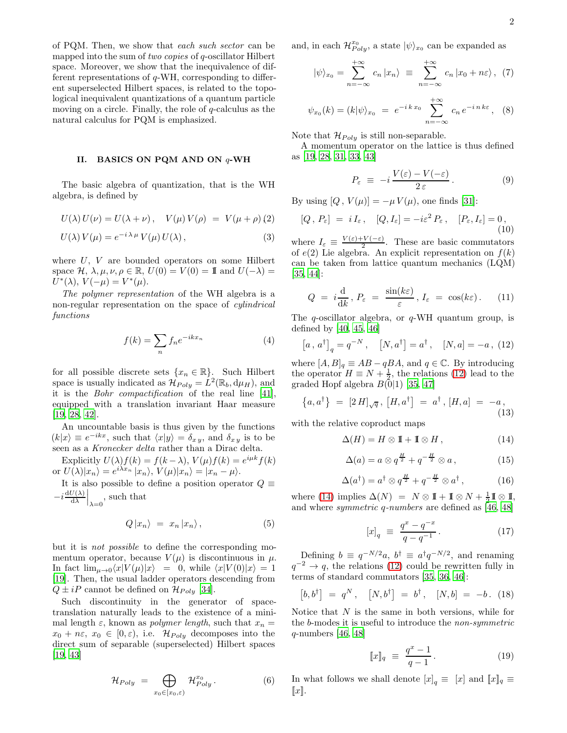of PQM. Then, we show that each such sector can be mapped into the sum of two copies of q-oscillator Hilbert space. Moreover, we show that the inequivalence of different representations of q-WH, corresponding to different superselected Hilbert spaces, is related to the topological inequivalent quantizations of a quantum particle moving on a circle. Finally, the role of q-calculus as the natural calculus for PQM is emphasized.

## II. BASICS ON PQM AND ON q-WH

The basic algebra of quantization, that is the WH algebra, is defined by

$$
U(\lambda) U(\nu) = U(\lambda + \nu), \quad V(\mu) V(\rho) = V(\mu + \rho) (2)
$$

$$
U(\lambda) V(\mu) = e^{-i \lambda \mu} V(\mu) U(\lambda), \qquad (3)
$$

where  $U, V$  are bounded operators on some Hilbert space  $\mathcal{H}, \lambda, \mu, \nu, \rho \in \mathbb{R}, U(0) = V(0) = \mathbb{I}$  and  $U(-\lambda) =$  $U^*(\lambda), V(-\mu) = V^*(\mu).$ 

The polymer representation of the WH algebra is a non-regular representation on the space of *cylindrical* functions

$$
f(k) = \sum_{n} f_n e^{-ikx_n}
$$
 (4)

for all possible discrete sets  $\{x_n \in \mathbb{R}\}$ . Such Hilbert space is usually indicated as  $\mathcal{H}_{Poly} = L^2(\mathbb{R}_b, d\mu_H)$ , and it is the Bohr compactification of the real line [\[41\]](#page-4-28), equipped with a translation invariant Haar measure [\[19](#page-4-14), [28,](#page-4-29) [42\]](#page-4-30).

An uncountable basis is thus given by the functions  $(k|x) \equiv e^{-ikx}$ , such that  $\langle x|y \rangle = \delta_{xy}$ , and  $\delta_{xy}$  is to be seen as a Kronecker delta rather than a Dirac delta.

Explicitly  $U(\lambda)f(k) = f(k-\lambda), V(\mu)f(k) = e^{i\mu k}f(k)$ or  $U(\lambda)|x_n\rangle = e^{i\lambda x_n} |x_n\rangle, V(\mu)|x_n\rangle = |x_n - \mu\rangle.$ 

It is also possible to define a position operator  $Q \equiv$  $-i\frac{\mathrm{d}U(\lambda)}{\mathrm{d}\lambda}$  $\frac{U(\lambda)}{d\lambda}\Big|_{\lambda=0}$ , such that

$$
Q|x_n\rangle = x_n|x_n\rangle, \qquad (5)
$$

but it is not possible to define the corresponding momentum operator, because  $V(\mu)$  is discontinuous in  $\mu$ . In fact  $\lim_{\mu\to 0}\langle x|V(\mu)|x\rangle = 0$ , while  $\langle x|V(0)|x\rangle = 1$ [\[19](#page-4-14)]. Then, the usual ladder operators descending from  $Q \pm iP$  cannot be defined on  $\mathcal{H}_{Poly}$  [\[34\]](#page-4-22).

Such discontinuity in the generator of spacetranslation naturally leads to the existence of a minimal length  $\varepsilon$ , known as *polymer length*, such that  $x_n =$  $x_0 + n\varepsilon$ ,  $x_0 \in [0, \varepsilon)$ , i.e.  $\mathcal{H}_{Poly}$  decomposes into the direct sum of separable (superselected) Hilbert spaces [\[19](#page-4-14), [43\]](#page-4-31)

$$
\mathcal{H}_{Poly} = \bigoplus_{x_0 \in [x_0, \varepsilon)} \mathcal{H}_{Poly}^{x_0}.
$$
 (6)

and, in each  $\mathcal{H}_{Poly}^{x_0}$ , a state  $|\psi\rangle_{x_0}$  can be expanded as

<span id="page-1-4"></span>
$$
|\psi\rangle_{x_0} = \sum_{n=-\infty}^{+\infty} c_n |x_n\rangle \equiv \sum_{n=-\infty}^{+\infty} c_n |x_0 + n\varepsilon\rangle, (7)
$$

$$
\psi_{x_0}(k) = (k|\psi\rangle_{x_0} = e^{-ikx_0} \sum_{n=-\infty}^{+\infty} c_n e^{-in k \varepsilon}, \quad (8)
$$

Note that  $\mathcal{H}_{Poly}$  is still non-separable.

A momentum operator on the lattice is thus defined as [\[19,](#page-4-14) [28,](#page-4-29) [31,](#page-4-20) [33](#page-4-21), [43](#page-4-31)]

$$
P_{\varepsilon} \equiv -i \frac{V(\varepsilon) - V(-\varepsilon)}{2 \, \varepsilon} \,. \tag{9}
$$

By using  $[Q, V(\mu)] = -\mu V(\mu)$ , one finds [\[31\]](#page-4-20):

$$
[Q, P_{\varepsilon}] = i I_{\varepsilon}, \quad [Q, I_{\varepsilon}] = -i \varepsilon^2 P_{\varepsilon}, \quad [P_{\varepsilon}, I_{\varepsilon}] = 0, \tag{10}
$$

where  $I_{\varepsilon} \equiv \frac{V(\varepsilon) + V(-\varepsilon)}{2}$ . These are basic commutators of  $e(2)$  Lie algebra. An explicit representation on  $f(k)$ can be taken from lattice quantum mechanics (LQM) [\[35,](#page-4-23) [44\]](#page-4-32):

<span id="page-1-3"></span>
$$
Q = i \frac{\mathrm{d}}{\mathrm{d}k}, P_{\varepsilon} = \frac{\sin(k\varepsilon)}{\varepsilon}, I_{\varepsilon} = \cos(k\varepsilon). \quad (11)
$$

The  $q$ -oscillator algebra, or  $q$ -WH quantum group, is defined by [\[40,](#page-4-27) [45,](#page-4-33) [46\]](#page-4-34)

<span id="page-1-0"></span>
$$
[a, a^{\dagger}]_q = q^{-N}, \quad [N, a^{\dagger}] = a^{\dagger}, \quad [N, a] = -a, (12)
$$

where  $[A, B]_q \equiv AB - qBA$ , and  $q \in \mathbb{C}$ . By introducing the operator  $H \equiv N + \frac{1}{2}$ , the relations [\(12\)](#page-1-0) lead to the graded Hopf algebra  $B(0|1)$  [\[35,](#page-4-23) [47\]](#page-4-35)

$$
\{a,a^{\dagger}\} = [2 H]_{\sqrt{q}}, [H, a^{\dagger}] = a^{\dagger}, [H, a] = -a,
$$
\n(13)

with the relative coproduct maps

<span id="page-1-1"></span>
$$
\Delta(H) = H \otimes \mathbb{I} + \mathbb{I} \otimes H, \qquad (14)
$$

$$
\Delta(a) = a \otimes q^{\frac{H}{2}} + q^{-\frac{H}{2}} \otimes a, \qquad (15)
$$

$$
\Delta(a^{\dagger}) = a^{\dagger} \otimes q^{\frac{H}{2}} + q^{-\frac{H}{2}} \otimes a^{\dagger}, \qquad (16)
$$

where [\(14\)](#page-1-1) implies  $\Delta(N) = N \otimes \mathbb{I} + \mathbb{I} \otimes N + \frac{1}{2} \mathbb{I} \otimes \mathbb{I}$ , and where symmetric q-numbers are defined as [\[46](#page-4-34), [48](#page-4-36)]

$$
[x]_q \equiv \frac{q^x - q^{-x}}{q - q^{-1}}.
$$
 (17)

Defining  $b \equiv q^{-N/2}a$ ,  $b^{\dagger} \equiv a^{\dagger}q^{-N/2}$ , and renaming  $q^{-2} \to q$ , the relations [\(12\)](#page-1-0) could be rewritten fully in terms of standard commutators [\[35,](#page-4-23) [36,](#page-4-37) [46\]](#page-4-34):

<span id="page-1-2"></span>
$$
[b, b^{\dagger}] = q^N, \quad [N, b^{\dagger}] = b^{\dagger}, \quad [N, b] = -b. \tag{18}
$$

Notice that  $N$  is the same in both versions, while for the b-modes it is useful to introduce the non-symmetric  $q$ -numbers [\[46](#page-4-34), [48](#page-4-36)]

$$
[\![x]\!]_q \ \equiv \ \frac{q^x - 1}{q - 1} \,. \tag{19}
$$

In what follows we shall denote  $[x]_q \equiv [x]$  and  $[x]_q \equiv$  $\llbracket x \rrbracket$ .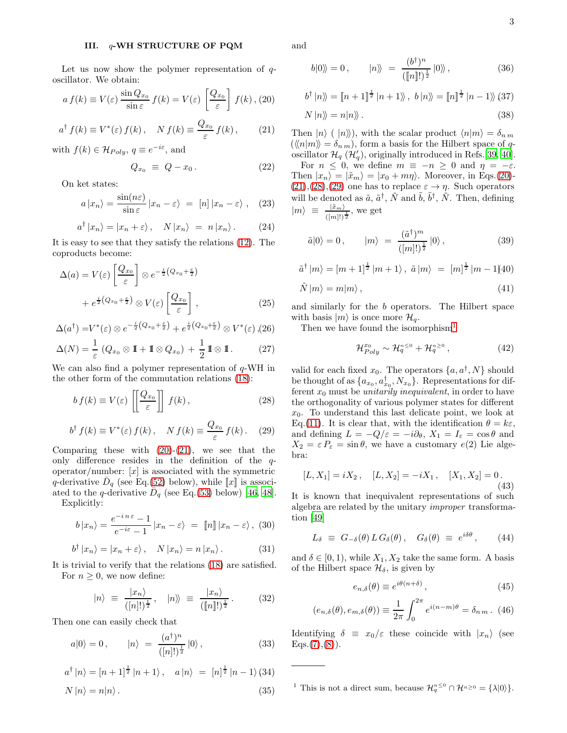#### III. q-WH STRUCTURE OF PQM

Let us now show the polymer representation of  $q$ oscillator. We obtain:

<span id="page-2-0"></span>
$$
a f(k) \equiv V(\varepsilon) \frac{\sin Q_{x_0}}{\sin \varepsilon} f(k) = V(\varepsilon) \left[ \frac{Q_{x_0}}{\varepsilon} \right] f(k), (20)
$$

$$
a^{\dagger} f(k) \equiv V^*(\varepsilon) f(k), \quad N f(k) \equiv \frac{Q_{x_0}}{\varepsilon} f(k), \qquad (21)
$$

with  $f(k) \in \mathcal{H}_{Poly}, q \equiv e^{-i\varepsilon},$  and

<span id="page-2-4"></span>
$$
Q_{x_0} \equiv Q - x_0. \tag{22}
$$

On ket states:

$$
a|x_n\rangle = \frac{\sin(n\varepsilon)}{\sin\varepsilon}|x_n - \varepsilon\rangle = [n]|x_n - \varepsilon\rangle , \quad (23)
$$

$$
a^{\dagger} |x_n\rangle = |x_n + \varepsilon\rangle, \quad N |x_n\rangle = n |x_n\rangle. \tag{24}
$$

It is easy to see that they satisfy the relations [\(12\)](#page-1-0). The coproducts become:

$$
\Delta(a) = V(\varepsilon) \left[ \frac{Q_{x_0}}{\varepsilon} \right] \otimes e^{-\frac{i}{2}(Q_{x_0} + \frac{\varepsilon}{2})} + e^{\frac{i}{2}(Q_{x_0} + \frac{\varepsilon}{2})} \otimes V(\varepsilon) \left[ \frac{Q_{x_0}}{\varepsilon} \right],
$$
(25)

$$
\Delta(a^{\dagger}) = V^*(\varepsilon) \otimes e^{-\frac{i}{2}(Q_{x_0} + \frac{\varepsilon}{2})} + e^{\frac{i}{2}(Q_{x_0} + \frac{\varepsilon}{2})} \otimes V^*(\varepsilon), (26)
$$

$$
\Delta(N) = \frac{1}{\varepsilon} \left( Q_{x_0} \otimes \mathbb{I} + \mathbb{I} \otimes Q_{x_0} \right) + \frac{1}{2} \mathbb{I} \otimes \mathbb{I}. \tag{27}
$$

We can also find a polymer representation of  $q$ -WH in the other form of the commutation relations [\(18\)](#page-1-2):

<span id="page-2-1"></span>
$$
b f(k) \equiv V(\varepsilon) \left[ \left[ \frac{Q_{x_0}}{\varepsilon} \right] \right] f(k) , \qquad (28)
$$

$$
b^{\dagger} f(k) \equiv V^*(\varepsilon) f(k) , \quad N f(k) \equiv \frac{Q_{x_0}}{\varepsilon} f(k) . \quad (29)
$$

Comparing these with  $(20)-(21)$  $(20)-(21)$ , we see that the only difference resides in the definition of the  $q$ operator/number:  $[x]$  is associated with the symmetric q-derivative  $\bar{D}_q$  (see Eq.[\(52\)](#page-3-0) below), while  $\llbracket x \rrbracket$  is associated to the q-derivative  $D_q$  (see Eq.[\(53\)](#page-3-0) below) [\[46,](#page-4-34) [48\]](#page-4-36).

Explicitly:

$$
b|x_n\rangle = \frac{e^{-in\,\varepsilon} - 1}{e^{-i\varepsilon} - 1}|x_n - \varepsilon\rangle = [n]|x_n - \varepsilon\rangle, (30)
$$

$$
b^{\dagger} |x_n\rangle = |x_n + \varepsilon\rangle, \quad N |x_n\rangle = n |x_n\rangle. \tag{31}
$$

It is trivial to verify that the relations [\(18\)](#page-1-2) are satisfied. For  $n \geq 0$ , we now define:

$$
|n\rangle \equiv \frac{|x_n\rangle}{([n]!)^{\frac{1}{2}}}, \quad |n\rangle\!\rangle \equiv \frac{|x_n\rangle}{([n]!)^{\frac{1}{2}}}.
$$
 (32)

Then one can easily check that

$$
a|0\rangle = 0, \qquad |n\rangle = \frac{(a^{\dagger})^n}{([n]!)^{\frac{1}{2}}}|0\rangle, \qquad (33)
$$

$$
a^{\dagger} |n\rangle = [n+1]^{\frac{1}{2}} |n+1\rangle, \quad a |n\rangle = [n]^{\frac{1}{2}} |n-1\rangle (34)
$$
  

$$
N |n\rangle = n |n\rangle.
$$
 (35)

and

$$
b|0\rangle = 0, \qquad |n\rangle = \frac{(b^{\dagger})^n}{([\![n]\!])^{\frac{1}{2}}}|0\rangle, \qquad (36)
$$

$$
b^{\dagger} |n\rangle\!\rangle = [n+1]^{\frac{1}{2}} |n+1\rangle\!\rangle, b |n\rangle\!\rangle = [n]^{\frac{1}{2}} |n-1\rangle\!\rangle (37)
$$

$$
N|n\rangle\!\rangle = n|n\rangle\!\rangle. \tag{38}
$$

Then  $|n\rangle$  (  $|n\rangle$ ), with the scalar product  $\langle n|m\rangle = \delta_{nm}$  $(\langle\langle n|m\rangle\rangle = \delta_{nm})$ , form a basis for the Hilbert space of qoscillator  $\mathcal{H}_q$  ( $\mathcal{H}'_q$ ), originally introduced in Refs.[\[39](#page-4-26), [40\]](#page-4-27).

For  $n \leq 0$ , we define  $m \equiv -n \geq 0$  and  $\eta = -\varepsilon$ . Then  $|x_n\rangle = |\tilde{x}_m\rangle = |x_0 + m\eta\rangle$ . Moreover, in Eqs.[\(20\)](#page-2-0)- $(21),(28),(29)$  $(21),(28),(29)$  $(21),(28),(29)$  $(21),(28),(29)$  $(21),(28),(29)$  one has to replace  $\varepsilon \to \eta$ . Such operators will be denoted as  $\tilde{a}$ ,  $\tilde{a}^{\dagger}$ ,  $\tilde{N}$  and  $\tilde{b}$ ,  $\tilde{b}^{\dagger}$ ,  $\tilde{N}$ . Then, defining  $|m\rangle \equiv \frac{|\tilde{x}_m\rangle}{(|m|!)^{\frac{1}{2}}}$ , we get

$$
\tilde{a}|0\rangle = 0, \qquad |m\rangle = \frac{(\tilde{a}^{\dagger})^m}{([m]!)^{\frac{1}{2}}}|0\rangle, \tag{39}
$$

$$
\tilde{a}^{\dagger} |m\rangle = [m+1]^{\frac{1}{2}} |m+1\rangle, \ \tilde{a} |m\rangle = [m]^{\frac{1}{2}} |m-1\rangle \sim 1
$$

$$
\tilde{N}|m\rangle = m|m\rangle ,\qquad (41)
$$

and similarly for the b operators. The Hilbert space with basis  $|m\rangle$  is once more  $\mathcal{H}_q$ .

Then we have found the isomorphism<sup>[1](#page-2-2)</sup>

$$
\mathcal{H}_{Poly}^{x_0} \sim \mathcal{H}_q^{n \leq 0} + \mathcal{H}_q^{n \geq 0},\tag{42}
$$

valid for each fixed  $x_0$ . The operators  $\{a, a^{\dagger}, N\}$  should be thought of as  $\{a_{x_0}, a_{x_0}^{\dagger}, N_{x_0}\}$ . Representations for different  $x_0$  must be *unitarily inequivalent*, in order to have the orthogonality of various polymer states for different  $x_0$ . To understand this last delicate point, we look at Eq.[\(11\)](#page-1-3). It is clear that, with the identification  $\theta = k\varepsilon$ , and defining  $L = -Q/\varepsilon = -i\partial_\theta$ ,  $X_1 = I_\varepsilon = \cos\theta$  and  $X_2 = \varepsilon P_{\varepsilon} = \sin \theta$ , we have a customary  $e(2)$  Lie algebra:

$$
[L, X_1] = iX_2, \quad [L, X_2] = -iX_1, \quad [X_1, X_2] = 0.
$$
\n(43)

It is known that inequivalent representations of such algebra are related by the unitary improper transformation [\[49](#page-4-38)]

<span id="page-2-3"></span>
$$
L_{\delta} \equiv G_{-\delta}(\theta) \, L \, G_{\delta}(\theta) \,, \quad G_{\delta}(\theta) \equiv e^{i\delta\theta} \,, \tag{44}
$$

and  $\delta \in [0, 1)$ , while  $X_1, X_2$  take the same form. A basis of the Hilbert space  $\mathcal{H}_{\delta}$ , is given by

<span id="page-2-5"></span>
$$
e_{n,\delta}(\theta) \equiv e^{i\theta(n+\delta)}, \qquad (45)
$$

$$
(e_{n,\delta}(\theta), e_{m,\delta}(\theta)) \equiv \frac{1}{2\pi} \int_0^{2\pi} e^{i(n-m)\theta} = \delta_{n,m}.
$$
 (46)

Identifying  $\delta \equiv x_0/\varepsilon$  these coincide with  $|x_n\rangle$  (see  $Eqs.(7),(8)).$  $Eqs.(7),(8)).$  $Eqs.(7),(8)).$  $Eqs.(7),(8)).$  $Eqs.(7),(8)).$ 

<span id="page-2-2"></span><sup>1</sup> This is not a direct sum, because  $\mathcal{H}_q^{n \leq 0} \cap \mathcal{H}^{n \geq 0} = {\lambda |0\rangle}.$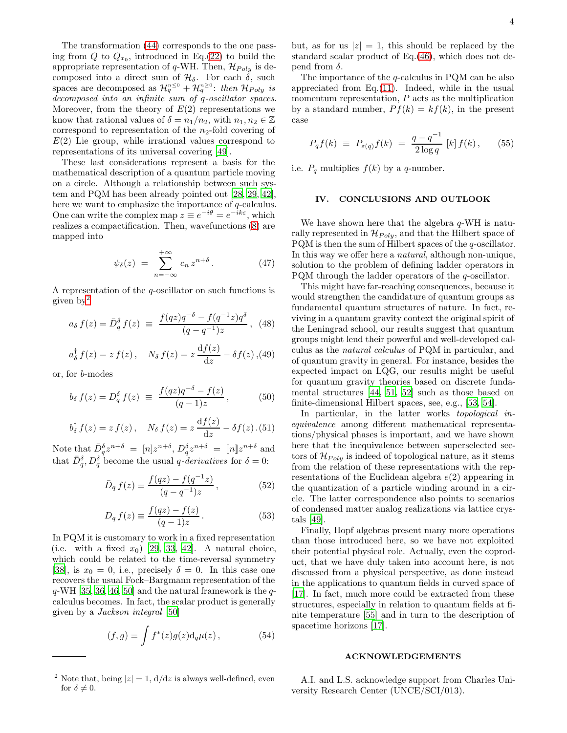The transformation [\(44\)](#page-2-3) corresponds to the one passing from  $Q$  to  $Q_{x_0}$ , introduced in Eq.[\(22\)](#page-2-4) to build the appropriate representation of q-WH. Then,  $\mathcal{H}_{Poly}$  is decomposed into a direct sum of  $\mathcal{H}_{\delta}$ . For each  $\delta$ , such spaces are decomposed as  $\mathcal{H}_q^{n\leq 0} + \mathcal{H}_q^{n\geq 0}$ : then  $\mathcal{H}_{Poly}$  is decomposed into an infinite sum of q-oscillator spaces. Moreover, from the theory of  $E(2)$  representations we know that rational values of  $\delta = n_1/n_2$ , with  $n_1, n_2 \in \mathbb{Z}$ correspond to representation of the  $n_2$ -fold covering of  $E(2)$  Lie group, while irrational values correspond to representations of its universal covering [\[49\]](#page-4-38).

These last considerations represent a basis for the mathematical description of a quantum particle moving on a circle. Although a relationship between such system and PQM has been already pointed out [\[28,](#page-4-29) [29](#page-4-18), [42\]](#page-4-30), here we want to emphasize the importance of q-calculus. One can write the complex map  $z \equiv e^{-i\theta} = e^{-ik\varepsilon}$ , which realizes a compactification. Then, wavefunctions [\(8\)](#page-1-4) are mapped into

$$
\psi_{\delta}(z) = \sum_{n=-\infty}^{+\infty} c_n z^{n+\delta} . \tag{47}
$$

A representation of the q-oscillator on such functions is given by[2](#page-3-1)

$$
a_{\delta} f(z) = \bar{D}_{q}^{\delta} f(z) \equiv \frac{f(qz)q^{-\delta} - f(q^{-1}z)q^{\delta}}{(q - q^{-1})z}, \tag{48}
$$

$$
a_{\delta}^{\dagger} f(z) = z f(z), \quad N_{\delta} f(z) = z \frac{\mathrm{d} f(z)}{\mathrm{d} z} - \delta f(z),
$$
 (49)

or, for b-modes

$$
b_{\delta} f(z) = D_q^{\delta} f(z) \ \equiv \ \frac{f(qz)q^{-\delta} - f(z)}{(q-1)z}, \tag{50}
$$

$$
b_{\delta}^{\dagger} f(z) = z f(z), \quad N_{\delta} f(z) = z \frac{\mathrm{d} f(z)}{\mathrm{d} z} - \delta f(z) . (51)
$$

Note that  $\bar{D}_q^{\delta} z^{n+\delta} = [n] z^{n+\delta}, D_q^{\delta} z^{n+\delta} = [n] z^{n+\delta}$  and that  $\bar{D}_q^{\delta}, D_q^{\delta}$  become the usual *q*-derivatives for  $\delta = 0$ :

<span id="page-3-0"></span>
$$
\bar{D}_q f(z) \equiv \frac{f(qz) - f(q^{-1}z)}{(q - q^{-1})z}, \qquad (52)
$$

$$
D_q f(z) \equiv \frac{f(qz) - f(z)}{(q-1)z}.
$$
\n
$$
(53)
$$

In PQM it is customary to work in a fixed representation (i.e. with a fixed  $x_0$ ) [\[29,](#page-4-18) [33](#page-4-21), [42\]](#page-4-30). A natural choice, which could be related to the time-reversal symmetry [\[38](#page-4-25)], is  $x_0 = 0$ , i.e., precisely  $\delta = 0$ . In this case one recovers the usual Fock–Bargmann representation of the  $q$ -WH [\[35,](#page-4-23) [36,](#page-4-37) [46](#page-4-34), [50](#page-4-39)] and the natural framework is the  $q$ calculus becomes. In fact, the scalar product is generally given by a Jackson integral [\[50\]](#page-4-39)

$$
(f,g) \equiv \int f^*(z)g(z)\mathrm{d}_q\mu(z)\,,\tag{54}
$$

but, as for us  $|z|=1$ , this should be replaced by the standard scalar product of Eq.[\(46\)](#page-2-5), which does not depend from  $\delta$ .

The importance of the q-calculus in PQM can be also appreciated from Eq.[\(11\)](#page-1-3). Indeed, while in the usual momentum representation,  $P$  acts as the multiplication by a standard number,  $P f(k) = k f(k)$ , in the present case

$$
P_q f(k) \equiv P_{\varepsilon(q)} f(k) = \frac{q - q^{-1}}{2 \log q} [k] f(k), \quad (55)
$$

i.e.  $P_q$  multiplies  $f(k)$  by a q-number.

# IV. CONCLUSIONS AND OUTLOOK

We have shown here that the algebra  $q$ -WH is naturally represented in  $\mathcal{H}_{Poly}$ , and that the Hilbert space of PQM is then the sum of Hilbert spaces of the  $q$ -oscillator. In this way we offer here a natural, although non-unique, solution to the problem of defining ladder operators in PQM through the ladder operators of the q-oscillator.

This might have far-reaching consequences, because it would strengthen the candidature of quantum groups as fundamental quantum structures of nature. In fact, reviving in a quantum gravity context the original spirit of the Leningrad school, our results suggest that quantum groups might lend their powerful and well-developed calculus as the natural calculus of PQM in particular, and of quantum gravity in general. For instance, besides the expected impact on LQG, our results might be useful for quantum gravity theories based on discrete fundamental structures [\[44,](#page-4-32) [51,](#page-4-40) [52](#page-5-0)] such as those based on finite-dimensional Hilbert spaces, see, e.g., [\[53,](#page-5-1) [54\]](#page-5-2).

In particular, in the latter works topological inequivalence among different mathematical representations/physical phases is important, and we have shown here that the inequivalence between superselected sectors of  $\mathcal{H}_{Poly}$  is indeed of topological nature, as it stems from the relation of these representations with the representations of the Euclidean algebra  $e(2)$  appearing in the quantization of a particle winding around in a circle. The latter correspondence also points to scenarios of condensed matter analog realizations via lattice crystals [\[49\]](#page-4-38).

Finally, Hopf algebras present many more operations than those introduced here, so we have not exploited their potential physical role. Actually, even the coproduct, that we have duly taken into account here, is not discussed from a physical perspective, as done instead in the applications to quantum fields in curved space of [\[17\]](#page-4-12). In fact, much more could be extracted from these structures, especially in relation to quantum fields at finite temperature [\[55](#page-5-3)] and in turn to the description of spacetime horizons [\[17](#page-4-12)].

#### ACKNOWLEDGEMENTS

A.I. and L.S. acknowledge support from Charles University Research Center (UNCE/SCI/013).

<span id="page-3-1"></span><sup>&</sup>lt;sup>2</sup> Note that, being  $|z|=1$ ,  $d/dz$  is always well-defined, even for  $\delta \neq 0$ .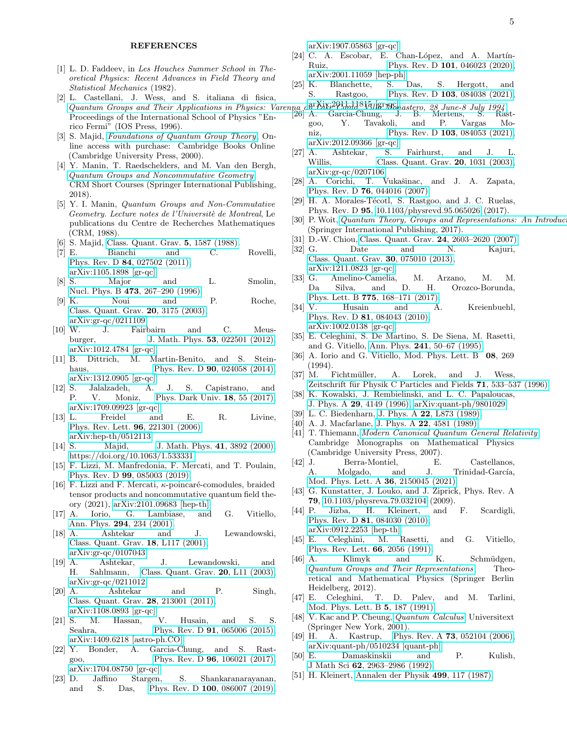### REFERENCES

- <span id="page-4-0"></span>[1] L. D. Faddeev, in *Les Houches Summer School in Theoretical Physics: Recent Advances in Field Theory and Statistical Mechanics* (1982).
- <span id="page-4-1"></span>[2] L. Castellani, J. Wess, and S. italiana di fisica, L. Castellani, J. Wess, and S. Rangua de Bosco,<br>*[Quantum Groups and Their Applications in Physics: Varenna on Lake Como, Villa Monastero, 28 June-8 July 1994](https://books.google.cz/books?id=_b0bZzw426AC)*,<br>Duessed in a of the International School of Dhysics: Varenna ( Proceedings of the International School of Physics "Enrico Fermi" (IOS Press, 1996).
- <span id="page-4-2"></span>[3] S. Majid, *[Foundations of Quantum Group Theory](https://books.google.cz/books?id=AmBsEkulnQEC)*, Online access with purchase: Cambridge Books Online (Cambridge University Press, 2000).
- <span id="page-4-3"></span>[4] Y. Manin, T. Raedschelders, and M. Van den Bergh, *[Quantum Groups and Noncommutative Geometry](https://books.google.cz/books?id=MXFyDwAAQBAJ)*, CRM Short Courses (Springer International Publishing, 2018).
- <span id="page-4-4"></span>[5] Y. I. Manin, *Quantum Groups and Non-Commutative Geometry. Lecture notes de l'Universit`e de Montreal*, Le publications du Centre de Recherches Mathematiques (CRM, 1988).
- <span id="page-4-5"></span>[6] S. Majid, [Class. Quant. Grav.](https://doi.org/10.1088/0264-9381/5/12/010) 5, 1587 (1988).
- <span id="page-4-6"></span>[7] E. Bianchi and C. Rovelli, Phys. Rev. D 84[, 027502 \(2011\),](https://doi.org/10.1103/PhysRevD.84.027502) [arXiv:1105.1898 \[gr-qc\].](https://arxiv.org/abs/1105.1898)
- <span id="page-4-7"></span>[8] S. Major and L. Smolin, Nucl. Phys. B 473, 267-290 (1996).
- [9] K. Noui and P. Roche, [Class. Quant. Grav.](https://doi.org/10.1088/0264-9381/20/14/318) 20, 3175 (2003), [arXiv:gr-qc/0211109.](https://arxiv.org/abs/gr-qc/0211109)
- [10] W. J. Fairbairn and C. Meusburger, J. Math. Phys. **53**[, 022501 \(2012\),](https://doi.org/10.1063/1.3675898) [arXiv:1012.4784 \[gr-qc\].](https://arxiv.org/abs/1012.4784)
- <span id="page-4-8"></span>[11] B. Dittrich, M. Martin-Benito, and S. Steinhaus, Phys. Rev. D **90**[, 024058 \(2014\),](https://doi.org/10.1103/PhysRevD.90.024058) [arXiv:1312.0905 \[gr-qc\].](https://arxiv.org/abs/1312.0905)
- <span id="page-4-9"></span>[12] S. Jalalzadeh, A. J. S. Capistrano, and P. V. Moniz, [Phys. Dark Univ.](https://doi.org/10.1016/j.dark.2017.09.011) 18, 55 (2017), [arXiv:1709.09923 \[gr-qc\].](https://arxiv.org/abs/1709.09923)
- <span id="page-4-10"></span>[13] L. Freidel and E. R. Livine, [Phys. Rev. Lett.](https://doi.org/10.1103/PhysRevLett.96.221301) 96, 221301 (2006), [arXiv:hep-th/0512113.](https://arxiv.org/abs/hep-th/0512113)
- [14] S. Majid, [J. Math. Phys.](https://doi.org/10.1063/1.533331) **41**, 3892 (2000), [https://doi.org/10.1063/1.533331.](https://arxiv.org/abs/https://doi.org/10.1063/1.533331)
- [15] F. Lizzi, M. Manfredonia, F. Mercati, and T. Poulain, Phys. Rev. D 99[, 085003 \(2019\).](https://doi.org/10.1103/PhysRevD.99.085003)
- <span id="page-4-11"></span>[16] F. Lizzi and F. Mercati,  $\kappa$ -poincaré-comodules, braided tensor products and noncommutative quantum field theory (2021), [arXiv:2101.09683 \[hep-th\].](https://arxiv.org/abs/2101.09683)<br>A. Iorio, G. Lambiase, and
- <span id="page-4-12"></span>[17] A. Iorio, G. Lambiase, and G. Vitiello, Ann. Phys. 294[, 234 \(2001\).](https://doi.org/https://doi.org/10.1006/aphy.2001.6195)
- <span id="page-4-13"></span>[18] A. Ashtekar and J. Lewandowski, [Class. Quant. Grav.](https://doi.org/10.1088/0264-9381/18/18/102) 18, L117 (2001), [arXiv:gr-qc/0107043.](https://arxiv.org/abs/gr-qc/0107043)
- <span id="page-4-14"></span>[19] A. Ashtekar, J. Lewandowski, and H. Sahlmann, [Class. Quant. Grav.](https://doi.org/10.1088/0264-9381/20/1/103) 20, L11 (2003), [arXiv:gr-qc/0211012.](https://arxiv.org/abs/gr-qc/0211012)
- <span id="page-4-15"></span>[20] A. Ashtekar and P. Singh, [Class. Quant. Grav.](https://doi.org/10.1088/0264-9381/28/21/213001) 28, 213001 (2011), [arXiv:1108.0893 \[gr-qc\].](https://arxiv.org/abs/1108.0893)
- [21] S. M. Hassan, V. Husain, and S. S. Seahra, Phys. Rev. D **91**[, 065006 \(2015\),](https://doi.org/10.1103/PhysRevD.91.065006) [arXiv:1409.6218 \[astro-ph.CO\].](https://arxiv.org/abs/1409.6218)
- [22] Y. Bonder, A. Garcia-Chung, and S. Rastgoo, Phys. Rev. D **96**[, 106021 \(2017\),](https://doi.org/10.1103/PhysRevD.96.106021) [arXiv:1704.08750 \[gr-qc\].](https://arxiv.org/abs/1704.08750)
- [23] D. Jaffino Stargen, S. Shankaranarayanan, and S. Das, Phys. Rev. D 100[, 086007 \(2019\),](https://doi.org/10.1103/PhysRevD.100.086007)

[arXiv:1907.05863 \[gr-qc\].](https://arxiv.org/abs/1907.05863)

- [24] C. A. Escobar, E. Chan-López, and A. Martín-Ruiz, Phys. Rev. D 101[, 046023 \(2020\),](https://doi.org/10.1103/PhysRevD.101.046023) [arXiv:2001.11059 \[hep-ph\].](https://arxiv.org/abs/2001.11059)
- [25] K. Blanchette, S. Das, S. Hergott, and S. Rastgoo, Phys. Rev. D 103[, 084038 \(2021\),](https://doi.org/10.1103/PhysRevD.103.084038) [arXiv:2011.11815 \[gr-qc\].](https://arxiv.org/abs/2011.11815)
- <span id="page-4-16"></span>[26] A. Garcia-Chung, J. B. Mertens, S. Rast-
- goo, Y. Tavakoli, and P. Vargas Mo-niz, Phys. Rev. D 103[, 084053 \(2021\),](https://doi.org/10.1103/PhysRevD.103.084053) [arXiv:2012.09366 \[gr-qc\].](https://arxiv.org/abs/2012.09366)<br>A. Ashtekar, S.
- <span id="page-4-17"></span>[27] A. Ashtekar, S. Fairhurst, and J. L.<br>Willis. Class. Quant. Gray.  $20.1031$  (2003). Class. Quant. Grav. **20**, 1031 (2003), [arXiv:gr-qc/0207106.](https://arxiv.org/abs/gr-qc/0207106)
- <span id="page-4-29"></span>[28] A. Corichi, T. Vukašinac, and J. A. Zapata, Phys. Rev. D 76[, 044016 \(2007\).](https://doi.org/10.1103/PhysRevD.76.044016)
- <span id="page-4-18"></span>[29] H. A. Morales-Técotl, S. Rastgoo, and J. C. Ruelas, Phys. Rev. D 95, [10.1103/physrevd.95.065026](https://doi.org/10.1103/physrevd.95.065026) (2017).
- <span id="page-4-19"></span>[30] P. Woit, *[Quantum Theory, Groups and Representations: An Introduction](https://books.google.cz/books?id=G248DwAAQBAJ)* (Springer International Publishing, 2017).
- <span id="page-4-20"></span>[31] D.-W. Chiou, [Class. Quant. Grav.](https://doi.org/10.1088/0264-9381/24/10/007) 24, 2603–2620 (2007).
- [32] G. Date and N. Kajuri, [Class. Quant. Grav.](https://doi.org/10.1088/0264-9381/30/7/075010) 30, 075010 (2013), [arXiv:1211.0823 \[gr-qc\].](https://arxiv.org/abs/1211.0823)
- <span id="page-4-21"></span>[33] G. Amelino-Camelia, M. Arzano, M. M. Da Silva, and D. H. Orozco-Borunda, Phys. Lett. B 775[, 168–171 \(2017\).](https://doi.org/10.1016/j.physletb.2017.10.071)
- <span id="page-4-22"></span>[34] V. Husain and A. Kreienbuehl, Phys. Rev. D 81[, 084043 \(2010\),](https://doi.org/10.1103/PhysRevD.81.084043) [arXiv:1002.0138 \[gr-qc\].](https://arxiv.org/abs/1002.0138)
- <span id="page-4-23"></span>[35] E. Celeghini, S. De Martino, S. De Siena, M. Rasetti, and G. Vitiello, Ann. Phys. 241[, 50–67 \(1995\).](https://doi.org/10.1006/aphy.1995.1055)
- <span id="page-4-37"></span>[36] A. Iorio and G. Vitiello, Mod. Phys. Lett. B 08, 269 (1994).
- <span id="page-4-24"></span>[37] M. Fichtmüller, A. Lorek, and J. Wess. Zeitschrift für Physik C Particles and Fields  $71, 533-537$  (1996).
- <span id="page-4-25"></span>[38] K. Kowalski, J. Rembielinski, and L. C. Papaloucas, J. Phys. A 29[, 4149 \(1996\),](https://doi.org/10.1088/0305-4470/29/14/034) [arXiv:quant-ph/9801029.](https://arxiv.org/abs/quant-ph/9801029)
- <span id="page-4-26"></span>[39] L. C. Biedenharn, J. Phys. A 22[, L873 \(1989\).](https://doi.org/10.1088/0305-4470/22/18/004)
- <span id="page-4-27"></span>[40] A. J. Macfarlane, J. Phys. A **22**[, 4581 \(1989\).](https://doi.org/10.1088/0305-4470/22/21/020)
- <span id="page-4-28"></span>[41] T. Thiemann, *[Modern Canonical Quantum General Relativity](https://doi.org/10.1017/CBO9780511755682)*, Cambridge Monographs on Mathematical Physics (Cambridge University Press, 2007).
- <span id="page-4-30"></span>[42] J. Berra-Montiel, E. Castellanos, A. Molgado, and J. Trinidad-García, [Mod. Phys. Lett. A](https://doi.org/10.1142/s0217732321500450) 36, 2150045 (2021).
- <span id="page-4-31"></span>[43] G. Kunstatter, J. Louko, and J. Ziprick, Phys. Rev. A 79, [10.1103/physreva.79.032104](https://doi.org/10.1103/physreva.79.032104) (2009).
- <span id="page-4-32"></span>[44] P. Jizba, H. Kleinert, and F. Scardigli, Phys. Rev. D 81[, 084030 \(2010\),](https://doi.org/10.1103/PhysRevD.81.084030) [arXiv:0912.2253 \[hep-th\].](https://arxiv.org/abs/0912.2253)
- <span id="page-4-33"></span>[45] E. Celeghini, M. Rasetti, and G. Vitiello, [Phys. Rev. Lett.](https://doi.org/10.1103/PhysRevLett.66.2056) 66, 2056 (1991).
- <span id="page-4-34"></span>[46] A. Klimyk and K. Schmüdgen, *[Quantum Groups and Their Representations](https://books.google.it/books?id=YaLwCAAAQBAJ)* , Theoretical and Mathematical Physics (Springer Berlin Heidelberg, 2012).
- <span id="page-4-35"></span>[47] E. Celeghini, T. D. Palev, and M. Tarlini, [Mod. Phys. Lett. B](https://doi.org/10.1142/S021798499100023X) 5, 187 (1991).
- <span id="page-4-36"></span>[48] V. Kac and P. Cheung, *[Quantum Calculus](https://books.google.cz/books?id=mK8HXHSTbB0C)*, Universitext (Springer New York, 2001).
- <span id="page-4-38"></span>[49] H. A. Kastrup, Phys. Rev. A **73**[, 052104 \(2006\),](https://doi.org/10.1103/PhysRevA.73.052104) [arXiv:quant-ph/0510234 \[quant-ph\].](https://arxiv.org/abs/quant-ph/0510234)
- <span id="page-4-39"></span>[50] E. Damaskinskii and P. Kulish, J Math Sci 62[, 2963–2986 \(1992\).](https://doi.org/10.1007/BF01097496)
- <span id="page-4-40"></span>[51] H. Kleinert, [Annalen der Physik](https://doi.org/10.1002/andp.19874990206) 499, 117 (1987).